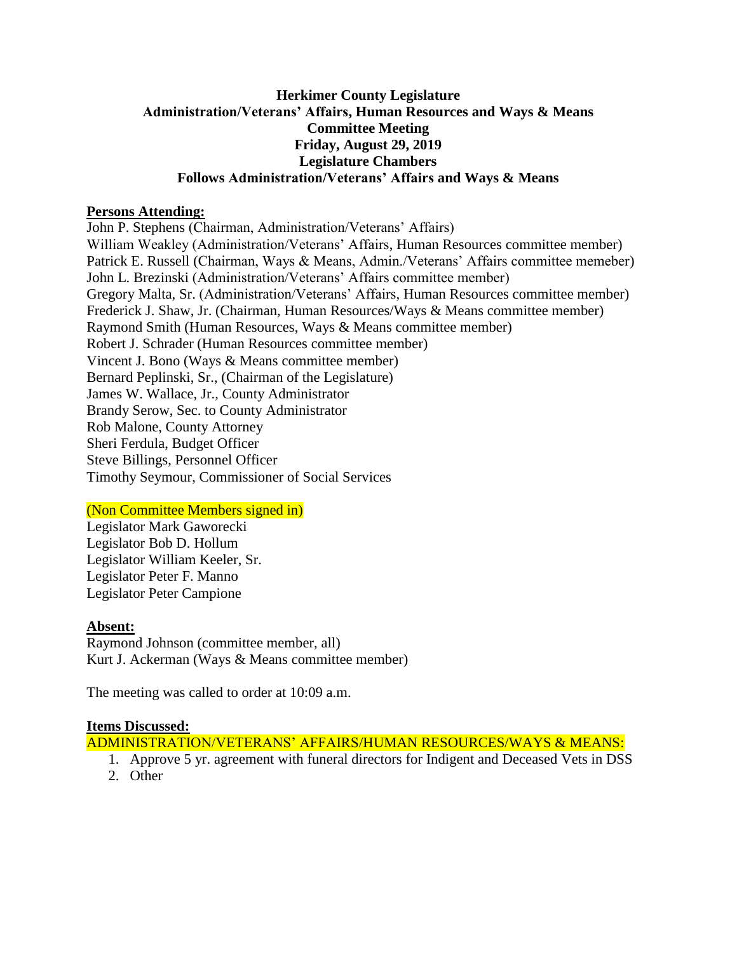## **Herkimer County Legislature Administration/Veterans' Affairs, Human Resources and Ways & Means Committee Meeting Friday, August 29, 2019 Legislature Chambers Follows Administration/Veterans' Affairs and Ways & Means**

## **Persons Attending:**

John P. Stephens (Chairman, Administration/Veterans' Affairs) William Weakley (Administration/Veterans' Affairs, Human Resources committee member) Patrick E. Russell (Chairman, Ways & Means, Admin./Veterans' Affairs committee memeber) John L. Brezinski (Administration/Veterans' Affairs committee member) Gregory Malta, Sr. (Administration/Veterans' Affairs, Human Resources committee member) Frederick J. Shaw, Jr. (Chairman, Human Resources/Ways & Means committee member) Raymond Smith (Human Resources, Ways & Means committee member) Robert J. Schrader (Human Resources committee member) Vincent J. Bono (Ways & Means committee member) Bernard Peplinski, Sr., (Chairman of the Legislature) James W. Wallace, Jr., County Administrator Brandy Serow, Sec. to County Administrator Rob Malone, County Attorney Sheri Ferdula, Budget Officer Steve Billings, Personnel Officer Timothy Seymour, Commissioner of Social Services

# (Non Committee Members signed in)

Legislator Mark Gaworecki Legislator Bob D. Hollum Legislator William Keeler, Sr. Legislator Peter F. Manno Legislator Peter Campione

#### **Absent:**

Raymond Johnson (committee member, all) Kurt J. Ackerman (Ways & Means committee member)

The meeting was called to order at 10:09 a.m.

#### **Items Discussed:**

ADMINISTRATION/VETERANS' AFFAIRS/HUMAN RESOURCES/WAYS & MEANS:

- 1. Approve 5 yr. agreement with funeral directors for Indigent and Deceased Vets in DSS
- 2. Other